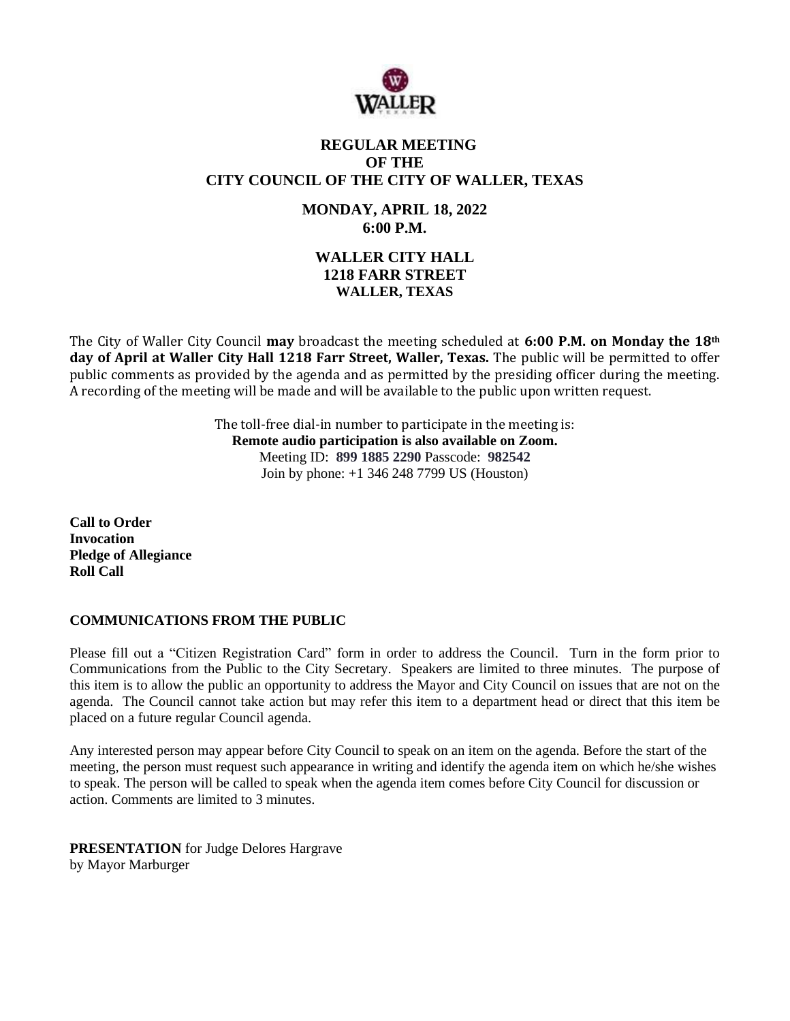

## **REGULAR MEETING OF THE CITY COUNCIL OF THE CITY OF WALLER, TEXAS**

**MONDAY, APRIL 18, 2022 6:00 P.M.**

# **WALLER CITY HALL 1218 FARR STREET WALLER, TEXAS**

The City of Waller City Council **may** broadcast the meeting scheduled at **6:00 P.M. on Monday the 18th day of April at Waller City Hall 1218 Farr Street, Waller, Texas.** The public will be permitted to offer public comments as provided by the agenda and as permitted by the presiding officer during the meeting. A recording of the meeting will be made and will be available to the public upon written request.

> The toll-free dial-in number to participate in the meeting is: **Remote audio participation is also available on Zoom.** Meeting ID: **899 1885 2290** Passcode: **982542** Join by phone: +1 346 248 7799 US (Houston)

**Call to Order Invocation Pledge of Allegiance Roll Call**

## **COMMUNICATIONS FROM THE PUBLIC**

Please fill out a "Citizen Registration Card" form in order to address the Council. Turn in the form prior to Communications from the Public to the City Secretary. Speakers are limited to three minutes. The purpose of this item is to allow the public an opportunity to address the Mayor and City Council on issues that are not on the agenda. The Council cannot take action but may refer this item to a department head or direct that this item be placed on a future regular Council agenda.

Any interested person may appear before City Council to speak on an item on the agenda. Before the start of the meeting, the person must request such appearance in writing and identify the agenda item on which he/she wishes to speak. The person will be called to speak when the agenda item comes before City Council for discussion or action. Comments are limited to 3 minutes.

**PRESENTATION** for Judge Delores Hargrave by Mayor Marburger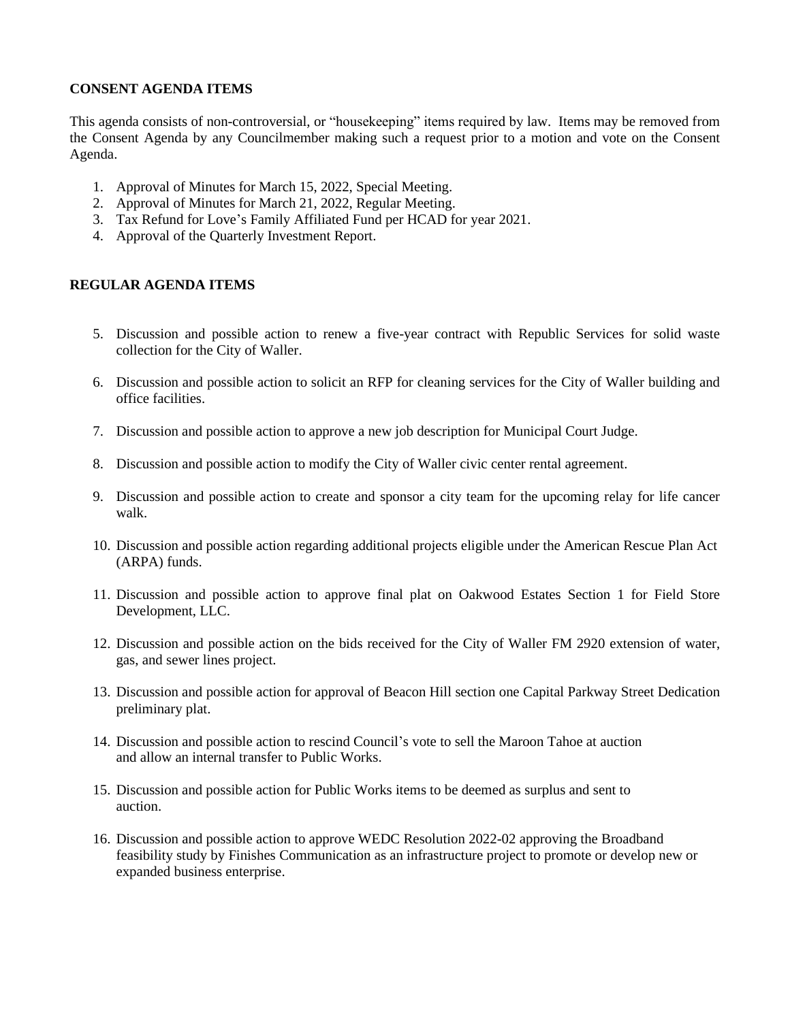## **CONSENT AGENDA ITEMS**

This agenda consists of non-controversial, or "housekeeping" items required by law. Items may be removed from the Consent Agenda by any Councilmember making such a request prior to a motion and vote on the Consent Agenda.

- 1. Approval of Minutes for March 15, 2022, Special Meeting.
- 2. Approval of Minutes for March 21, 2022, Regular Meeting.
- 3. Tax Refund for Love's Family Affiliated Fund per HCAD for year 2021.
- 4. Approval of the Quarterly Investment Report.

## **REGULAR AGENDA ITEMS**

- 5. Discussion and possible action to renew a five-year contract with Republic Services for solid waste collection for the City of Waller.
- 6. Discussion and possible action to solicit an RFP for cleaning services for the City of Waller building and office facilities.
- 7. Discussion and possible action to approve a new job description for Municipal Court Judge.
- 8. Discussion and possible action to modify the City of Waller civic center rental agreement.
- 9. Discussion and possible action to create and sponsor a city team for the upcoming relay for life cancer walk.
- 10. Discussion and possible action regarding additional projects eligible under the American Rescue Plan Act (ARPA) funds.
- 11. Discussion and possible action to approve final plat on Oakwood Estates Section 1 for Field Store Development, LLC.
- 12. Discussion and possible action on the bids received for the City of Waller FM 2920 extension of water, gas, and sewer lines project.
- 13. Discussion and possible action for approval of Beacon Hill section one Capital Parkway Street Dedication preliminary plat.
- 14. Discussion and possible action to rescind Council's vote to sell the Maroon Tahoe at auction and allow an internal transfer to Public Works.
- 15. Discussion and possible action for Public Works items to be deemed as surplus and sent to auction.
- 16. Discussion and possible action to approve WEDC Resolution 2022-02 approving the Broadband feasibility study by Finishes Communication as an infrastructure project to promote or develop new or expanded business enterprise.